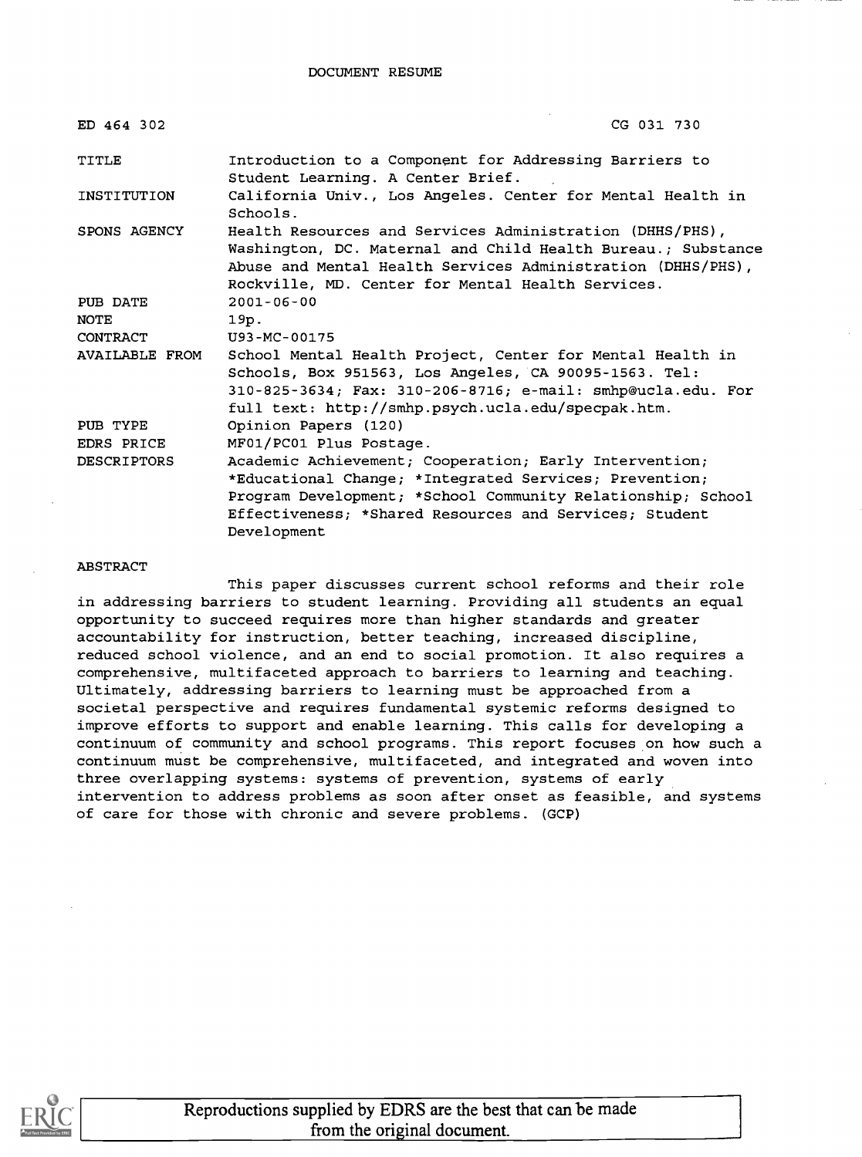| ED 464 302         | CG 031 730                                                                                                                                                                                                                                   |
|--------------------|----------------------------------------------------------------------------------------------------------------------------------------------------------------------------------------------------------------------------------------------|
| TITLE              | Introduction to a Component for Addressing Barriers to<br>Student Learning. A Center Brief.                                                                                                                                                  |
| INSTITUTION        | California Univ., Los Angeles. Center for Mental Health in<br>Schools.                                                                                                                                                                       |
| SPONS AGENCY       | Health Resources and Services Administration (DHHS/PHS),<br>Washington, DC. Maternal and Child Health Bureau.; Substance<br>Abuse and Mental Health Services Administration (DHHS/PHS),<br>Rockville, MD. Center for Mental Health Services. |
| PUB DATE           | $2001 - 06 - 00$                                                                                                                                                                                                                             |
| <b>NOTE</b>        | 19p.                                                                                                                                                                                                                                         |
| CONTRACT           | U93-MC-00175                                                                                                                                                                                                                                 |
| AVAILABLE FROM     | School Mental Health Project, Center for Mental Health in<br>Schools, Box 951563, Los Angeles, CA 90095-1563. Tel:<br>310-825-3634; Fax: 310-206-8716; e-mail: smhp@ucla.edu. For<br>full text: http://smhp.psych.ucla.edu/specpak.htm.      |
| PUB TYPE           | Opinion Papers (120)                                                                                                                                                                                                                         |
| EDRS PRICE         | MF01/PC01 Plus Postage.                                                                                                                                                                                                                      |
| <b>DESCRIPTORS</b> | Academic Achievement; Cooperation; Early Intervention;<br>*Educational Change; *Integrated Services; Prevention;                                                                                                                             |
|                    | Program Development; *School Community Relationship; School                                                                                                                                                                                  |
|                    | Effectiveness; *Shared Resources and Services; Student<br>Development                                                                                                                                                                        |

#### ABSTRACT

This paper discusses current school reforms and their role in addressing barriers to student learning. Providing all students an equal opportunity to succeed requires more than higher standards and greater accountability for instruction, better teaching, increased discipline, reduced school violence, and an end to social promotion. It also requires a comprehensive, multifaceted approach to barriers to learning and teaching. Ultimately, addressing barriers to learning must be approached from a societal perspective and requires fundamental systemic reforms designed to improve efforts to support and enable learning. This calls for developing a continuum of community and school programs. This report focuses on how such a continuum must be comprehensive, multifaceted, and integrated and woven into three overlapping systems: systems of prevention, systems of early intervention to address problems as soon after onset as feasible, and systems of care for those with chronic and severe problems. (GCP)

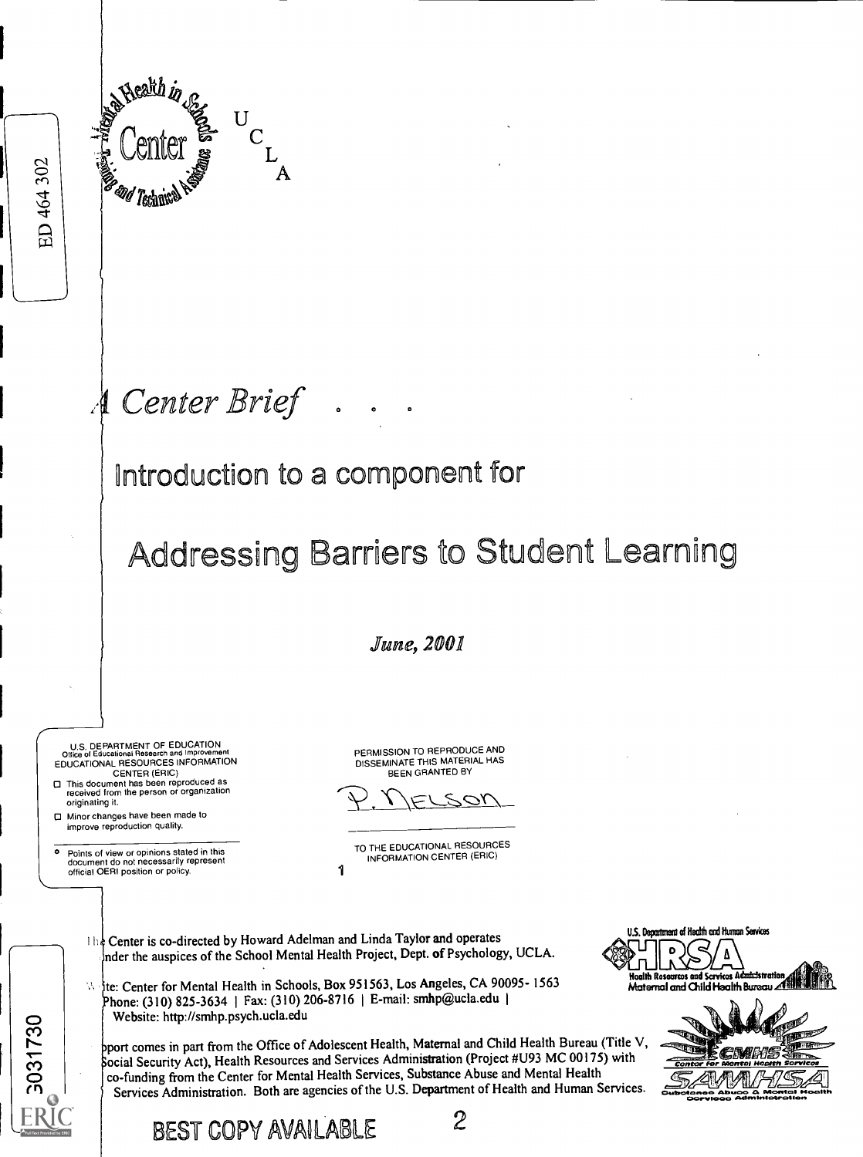

# Center Brief...

# Introduction to a component for

# Addressing Barriers to Student Learning

June, 2001

U.S. DEPARTMENT OF EDUCATION Office of Educational Research and Improvement EDUCATIONAL RESOURCES INFORMATION CENTER (ERIC)

- O This document has been reproduced as received from the person or organization originating it.
- O Minor changes have been made to improve reproduction quality.

GO31730

o Points of view or opinions stated in this document do not necessarily represent official OERI position or policy.

PERMISSION TO REPRODUCE AND DISSEMINATE THIS MATERIAL HAS BEEN GRANTED BY

P. MELSON

TO THE EDUCATIONAL RESOURCES INFORMATION CENTER (ERIC)

In center is co-directed by Howard Adelman and Linda Taylor and operates nder the auspices of the School Mental Health Project, Dept. of Psychology, UCLA.

1

- V, te: Center for Mental Health in Schools, Box 951563, Los Angeles, CA 90095- 1563 Phone: (310) 825-3634 | Fax: (310) 206-8716 | E-mail: smhp@ucla.edu | Website: http://smhp.psych.ucla.edu
- port comes in part from the Office of Adolescent Health, Maternal and Child Health Bureau (Title V,  $\overline{a}$ ocial Security Act), Health Resources and Services Administration (Project #U93 MC 00175) with co-funding from the Center for Mental Health Services, Substance Abuse and Mental Health Services Administration. Both are agencies of the U.S. Department of Health and Human Services.





BEST COPY AVAILABLE 2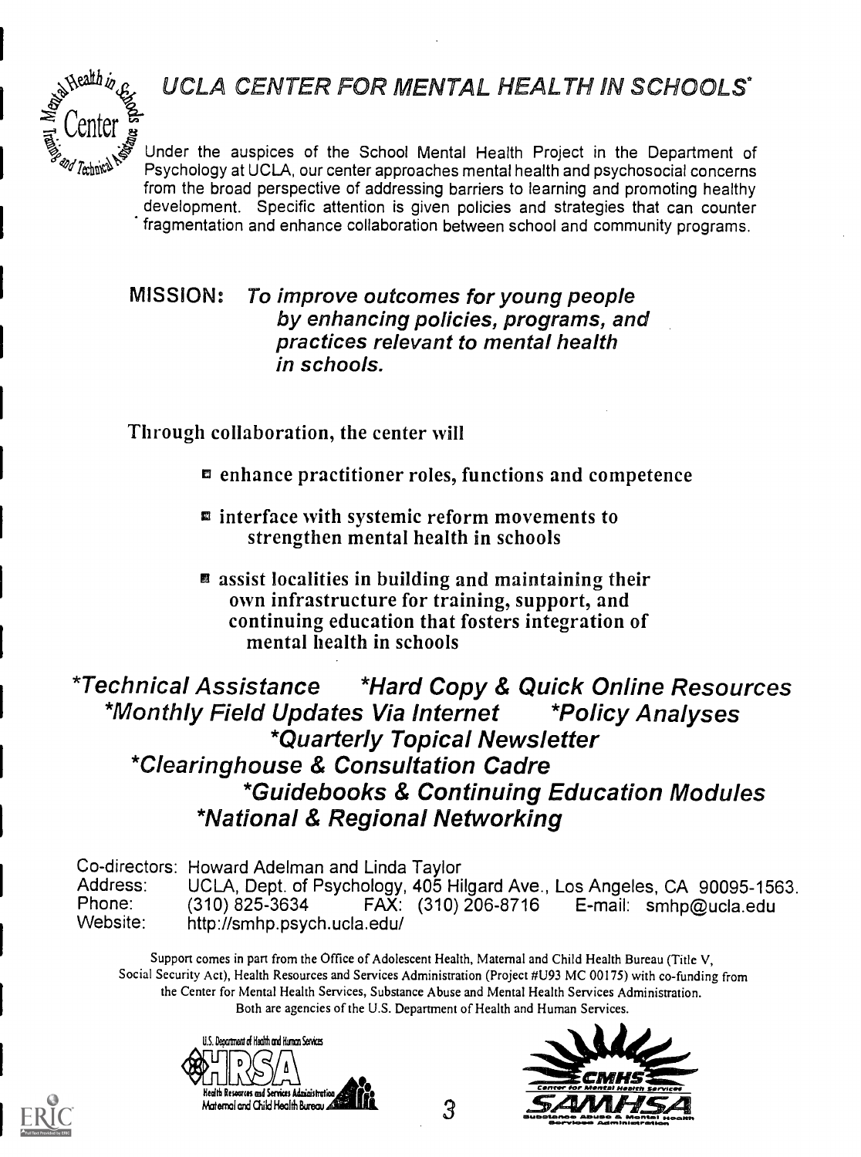UCLA CENTER FOR MENTAL HEALTH IN SCHOOLS'



Under the auspices of the School Mental Health Project in the Department of Psychology at UCLA, our center approaches mental health and psychosocial concerns from the broad perspective of addressing barriers to learning and promoting healthy development. Specific attention is given policies and strategies that can counter fragmentation and enhance collaboration between school and community programs.

## MISSION: To improve outcomes for young people by enhancing policies, programs, and practices relevant to mental health in schools.

Through collaboration, the center will

- $\blacksquare$  enhance practitioner roles, functions and competence
- $\blacksquare$  interface with systemic reform movements to strengthen mental health in schools
- $\blacksquare$  assist localities in building and maintaining their own infrastructure for training, support, and continuing education that fosters integration of mental health in schools

\*Technical Assistance \*Hard Copy & Quick Online Resources \*Monthly Field Updates Via Internet \*Policy Analyses \*Quarterly Topical Newsletter \*Clearinghouse & Consultation Cadre \*Guidebooks & Continuing Education Modules \*National & Regional Networking

Co-directors: Howard Adelman and Linda Taylor Address: UCLA, Dept. of Psychology, 405 Hilgard Ave., Los Angeles, CA 90095-1563.<br>Phone: (310) 825-3634 FAX: (310) 206-8716 E-mail: smhp@ucla.edu Phone: (310) 825-3634 FAX: (310) 206-8716 E-mail: smhp@ucla.edu<br>Website: http://smhp.psych.ucla.edu/ http://smhp.psych.ucla.edu/

Support comes in part from the Office of Adolescent Health, Maternal and Child Health Bureau (Title V, Social Security Act), Health Resources and Services Administration (Project #U93 MC 00175) with co-funding from the Center for Mental Health Services, Substance Abuse and Mental Health Services Administration. Both are agencies of the U.S. Department of Health and Human Services.





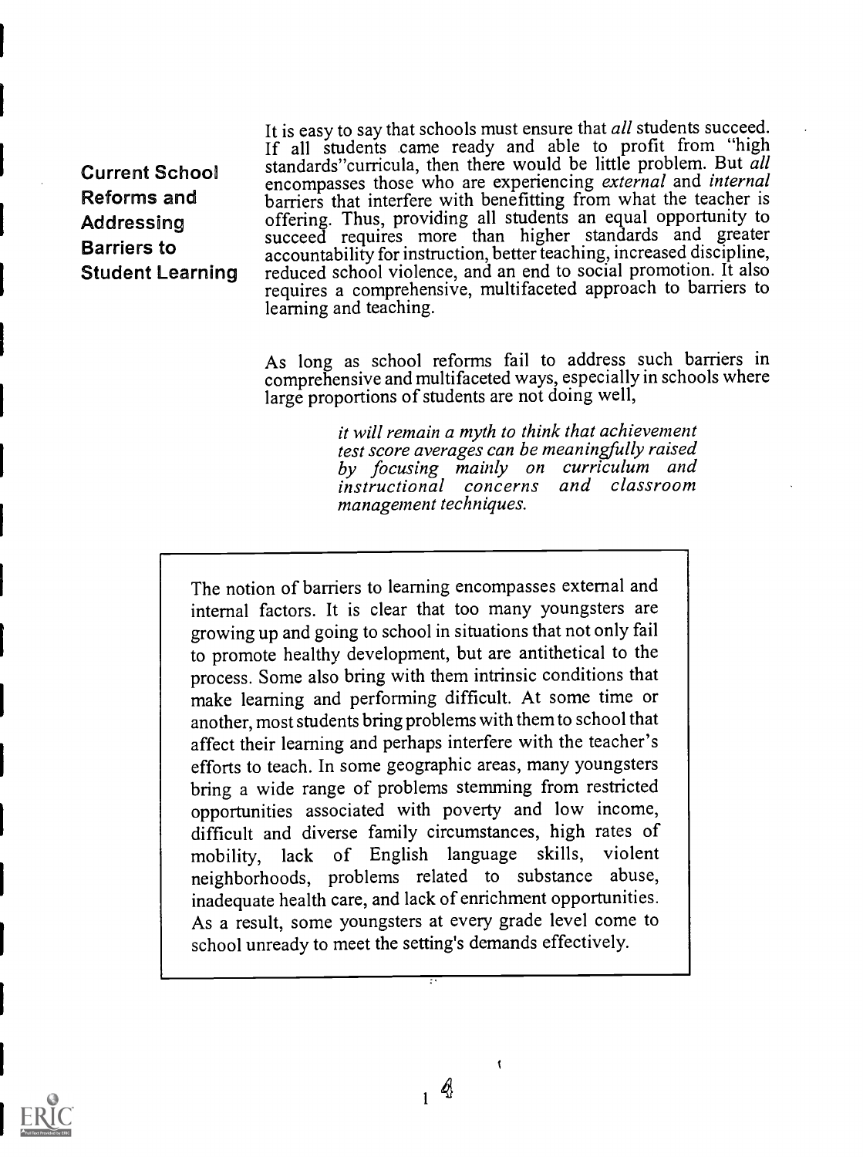Current School Addressing Student Learning

Reforms and barriers that interfere with benefitting from what the teacher is Barriers to accountability for instruction, better teaching, increased discipline, It is easy to say that schools must ensure that all students succeed. If all students came ready and able to profit from "high standards"curricula, then there would be little problem. But all encompasses those who are experiencing external and internal offering. Thus, providing all students an equal opportunity to succeed requires more than higher standards and greater reduced school violence, and an end to social promotion. It also requires a comprehensive, multifaceted approach to barriers to learning and teaching.

> As long as school reforms fail to address such barriers in comprehensive and multifaceted ways, especially in schools where large proportions of students are not doing well,

> > it will remain a myth to think that achievement test score averages can be meaningfully raised by focusing mainly on curriculum and instructional concerns and classroom management techniques.

The notion of barriers to learning encompasses external and internal factors. It is clear that too many youngsters are growing up and going to school in situations that not only fail to promote healthy development, but are antithetical to the process. Some also bring with them intrinsic conditions that make learning and performing difficult. At some time or another, most students bring problems with them to school that affect their learning and perhaps interfere with the teacher's efforts to teach. In some geographic areas, many youngsters bring a wide range of problems stemming from restricted opportunities associated with poverty and low income, difficult and diverse family circumstances, high rates of mobility, lack of English language skills, violent neighborhoods, problems related to substance abuse, inadequate health care, and lack of enrichment opportunities. As a result, some youngsters at every grade level come to school unready to meet the setting's demands effectively.



 $\phi$  $\mathbf{1}$ 

 $\mathbf{f}$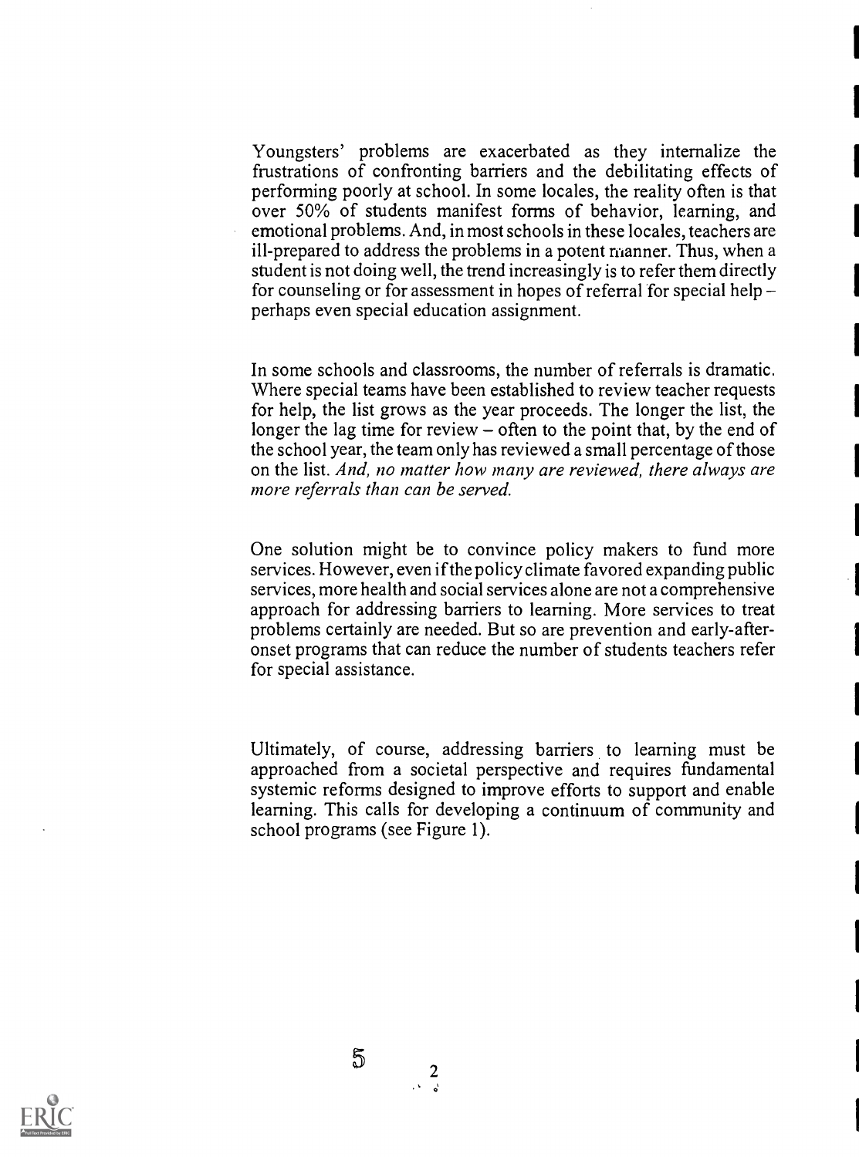Youngsters' problems are exacerbated as they internalize the frustrations of confronting barriers and the debilitating effects of performing poorly at school. In some locales, the reality often is that over 50% of students manifest forms of behavior, learning, and emotional problems. And, in most schools in these locales, teachers are ill-prepared to address the problems in a potent manner. Thus, when a student is not doing well, the trend increasingly is to refer them directly for counseling or for assessment in hopes of referral for special help perhaps even special education assignment.

In some schools and classrooms, the number of referrals is dramatic. Where special teams have been established to review teacher requests for help, the list grows as the year proceeds. The longer the list, the longer the lag time for review  $-$  often to the point that, by the end of the school year, the team only has reviewed a small percentage of those on the list. And, no matter how many are reviewed, there always are more referrals than can be served.

One solution might be to convince policy makers to fund more services. However, even if the policy climate favored expanding public services, more health and social services alone are not a comprehensive approach for addressing barriers to learning. More services to treat problems certainly are needed. But so are prevention and early-afteronset programs that can reduce the number of students teachers refer for special assistance.

Ultimately, of course, addressing barriers to learning must be approached from a societal perspective and requires fundamental systemic reforms designed to improve efforts to support and enable learning. This calls for developing a continuum of community and school programs (see Figure 1).

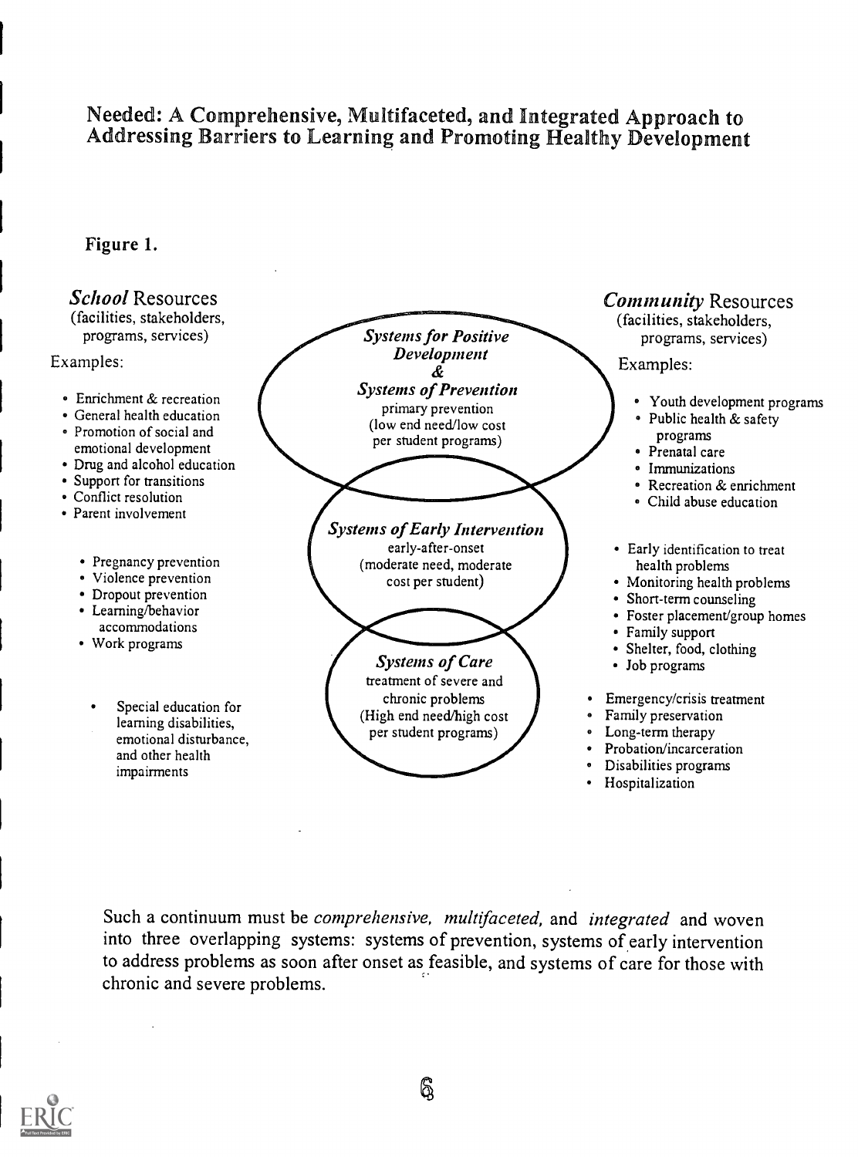# Needed: A Comprehensive, Multifaceted, and Integrated Approach to Addressing Barriers to Learning and Promoting Healthy Development

### Figure 1.



Such a continuum must be comprehensive, multifaceted, and integrated and woven into three overlapping systems: systems of prevention, systems of early intervention to address problems as soon after onset as feasible, and systems of care for those with chronic and severe problems.

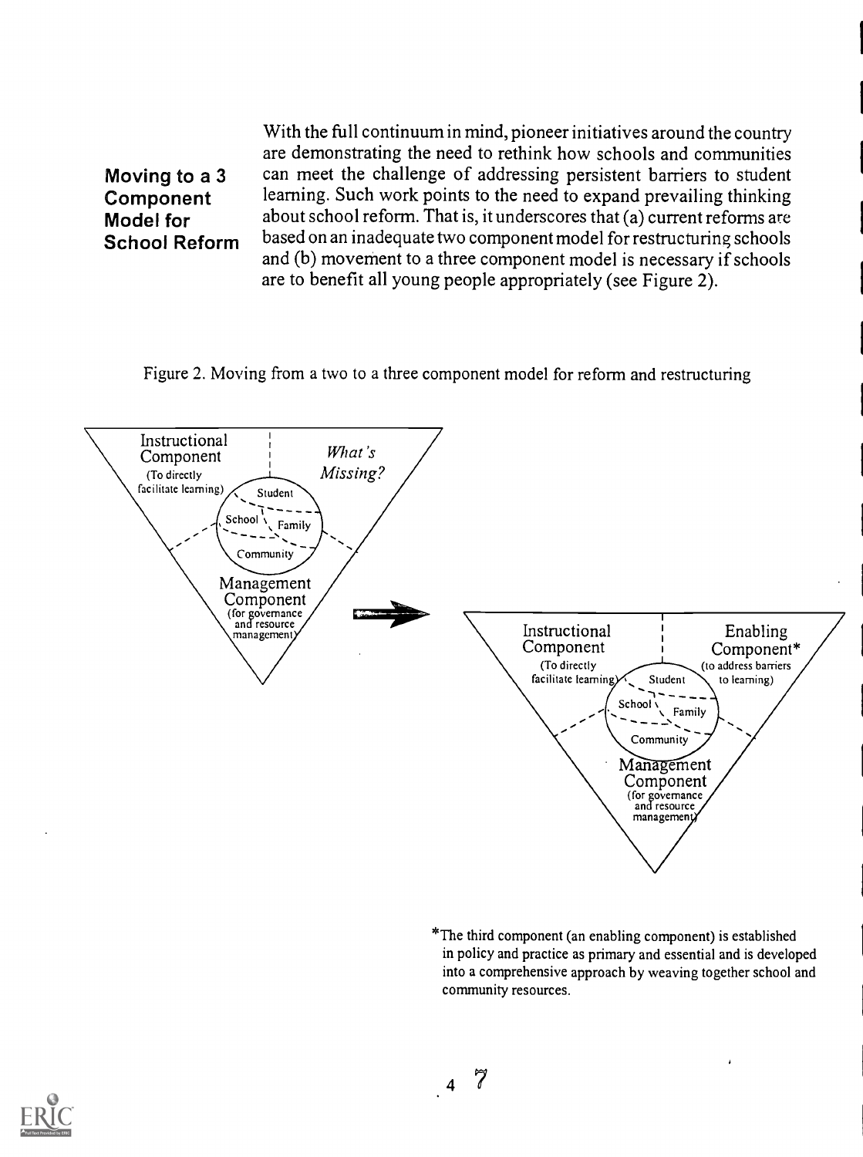Moving to a 3 Component Model for School Reform

With the full continuum in mind, pioneer initiatives around the country are demonstrating the need to rethink how schools and communities can meet the challenge of addressing persistent barriers to student learning. Such work points to the need to expand prevailing thinking about school reform. That is, it underscores that (a) current reforms are based on an inadequate two component model for restructuring schools and (b) movement to a three component model is necessary if schools are to benefit all young people appropriately (see Figure 2).

Figure 2. Moving from a two to a three component model for reform and restructuring



\*The third component (an enabling component) is established in policy and practice as primary and essential and is developed into a comprehensive approach by weaving together school and community resources.

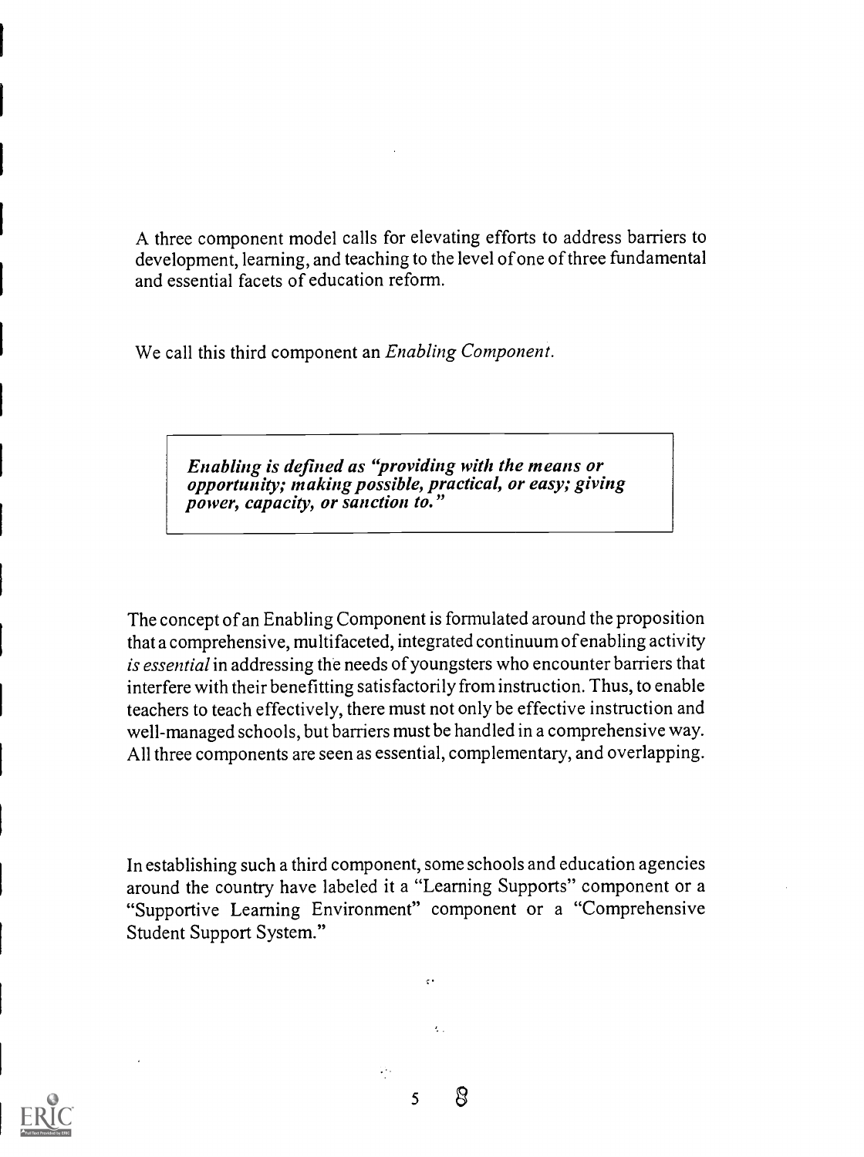A three component model calls for elevating efforts to address barriers to development, learning, and teaching to the level of one of three fundamental and essential facets of education reform.

We call this third component an Enabling Component.

Enabling is defined as "providing with the means or opportunity; making possible, practical, or easy; giving power, capacity, or sanction to."

The concept of an Enabling Component is formulated around the proposition that a comprehensive, multifaceted, integrated continuum of enabling activity is essential in addressing the needs of youngsters who encounter barriers that interfere with their benefitting satisfactorily from instruction. Thus, to enable teachers to teach effectively, there must not only be effective instruction and well-managed schools, but barriers must be handled in a comprehensive way. All three components are seen as essential, complementary, and overlapping.

In establishing such a third component, some schools and education agencies around the country have labeled it a "Learning Supports" component or a "Supportive Learning Environment" component or a "Comprehensive Student Support System."



<sup>5</sup> 8

 $\ddot{\cdot}$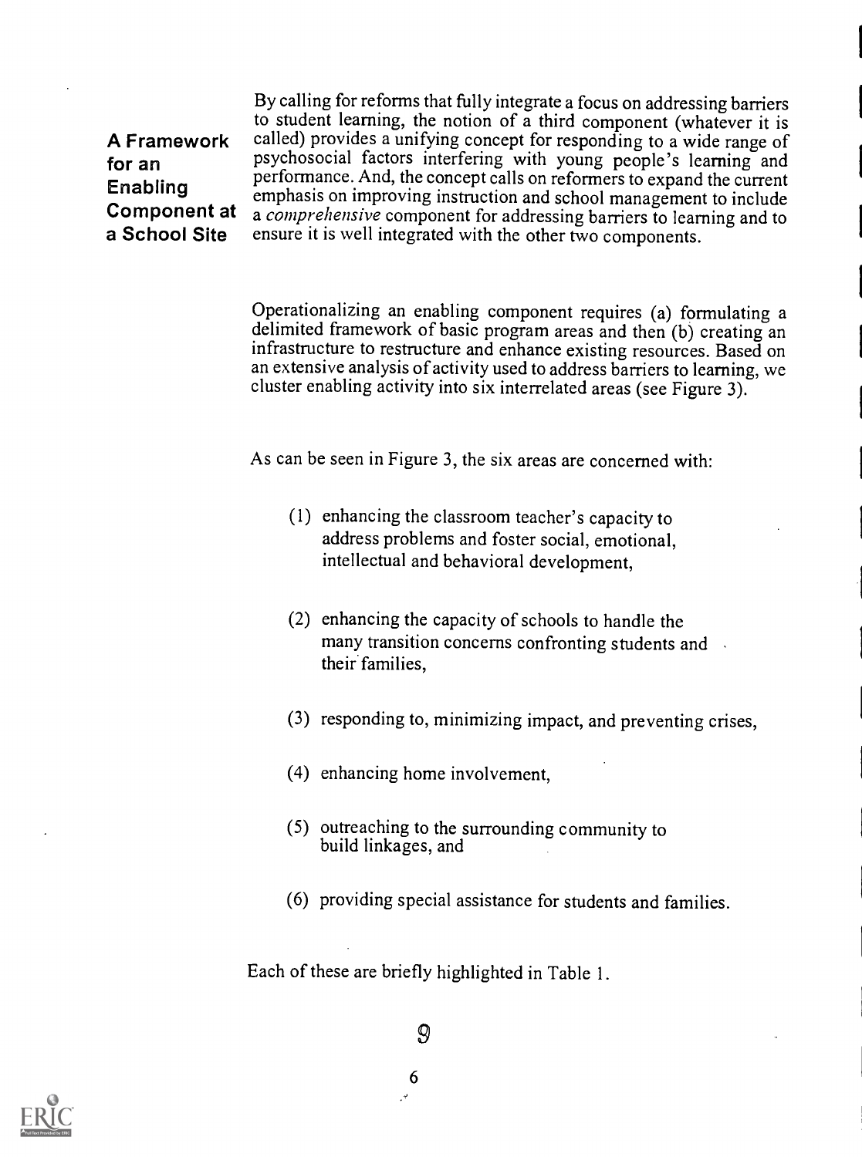# for an Enabling Component at a School Site

A Framework called) provides a unifying concept for responding to a wide range of By calling for reforms that fully integrate a focus on addressing barriers to student learning, the notion of a third component (whatever it is psychosocial factors interfering with young people's learning and performance. And, the concept calls on reformers to expand the current emphasis on improving instruction and school management to include a comprehensive component for addressing barriers to learning and to ensure it is well integrated with the other two components.

> Operationalizing an enabling component requires (a) formulating a delimited framework of basic program areas and then (b) creating an infrastructure to restructure and enhance existing resources. Based on an extensive analysis of activity used to address barriers to learning, we cluster enabling activity into six interrelated areas (see Figure 3).

As can be seen in Figure 3, the six areas are concerned with:

- (1) enhancing the classroom teacher's capacity to address problems and foster social, emotional, intellectual and behavioral development,
- (2) enhancing the capacity of schools to handle the many transition concerns confronting students and their families,
- (3) responding to, minimizing impact, and preventing crises,
- (4) enhancing home involvement,
- (5) outreaching to the surrounding community to build linkages, and
- (6) providing special assistance for students and families.

Each of these are briefly highlighted in Table 1.



6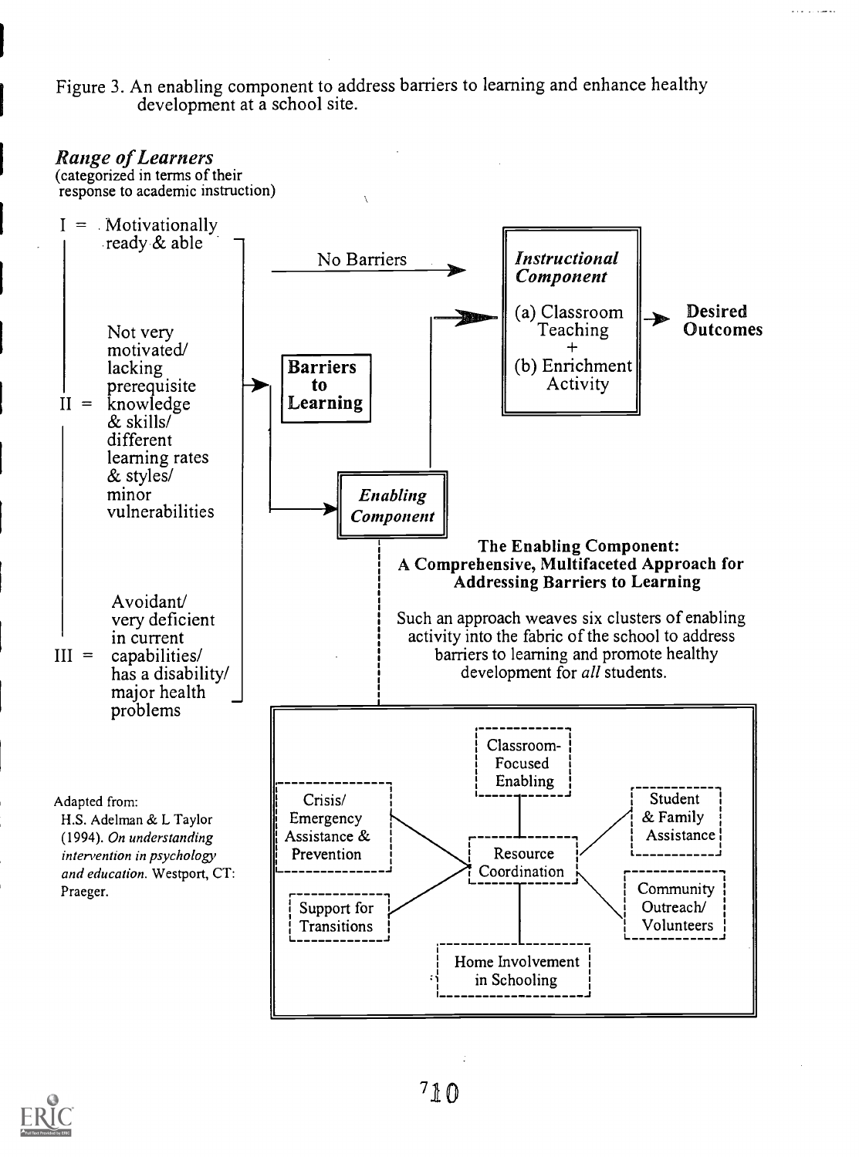Figure 3. An enabling component to address barriers to learning and enhance healthy development at a school site.



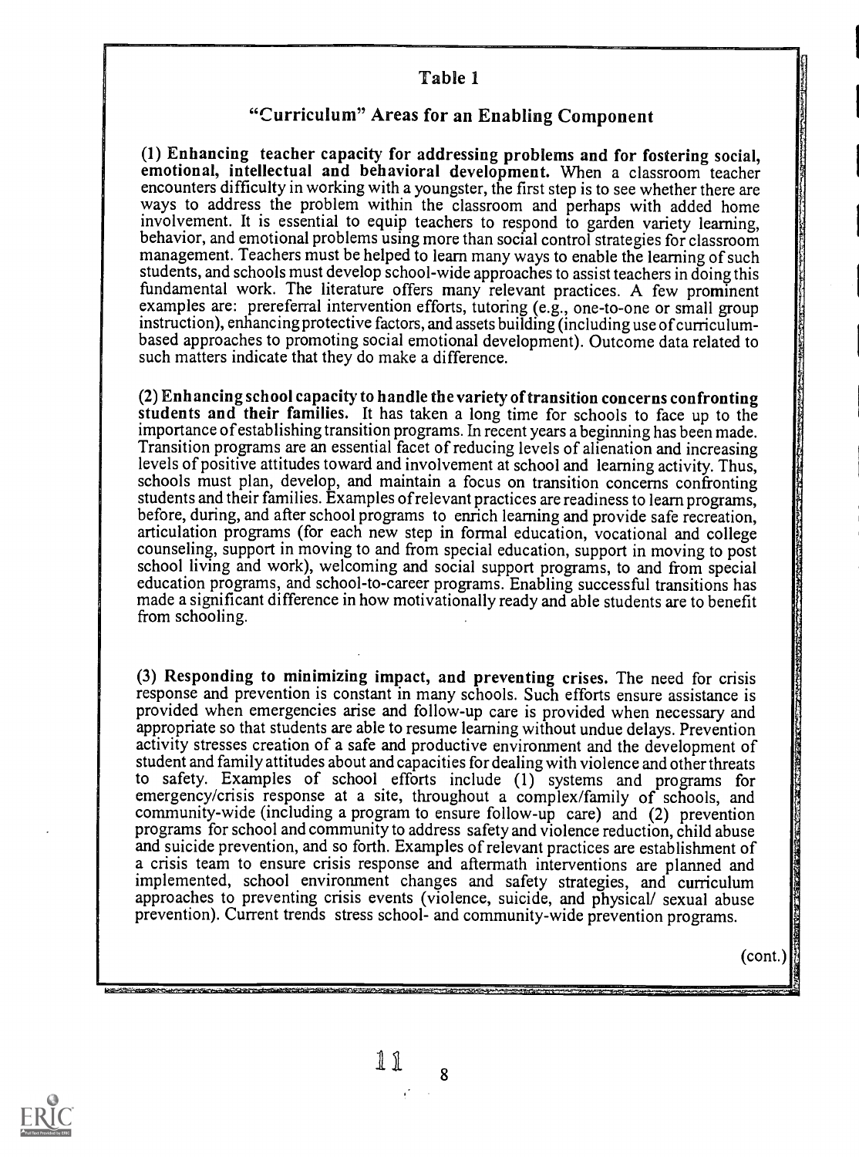#### Table 1

### "Curriculum" Areas for an Enabling Component

(1) Enhancing teacher capacity for addressing problems and for fostering social, emotional, intellectual and behavioral development. When a classroom teacher ways to address the problem within the classroom and perhaps with added home involvement. It is essential to equip teachers to respond to garden variety learning, behavior, and emotional problems using more than social control strategies for classroom management. Teachers must be helped to learn many ways to enable the learning of such students, and schools must develop school-wide approaches to assist teachers in doing this fundamental work. The literature offers many relevant practices. A few prominent examples are: prereferral intervention efforts, tutoring (e.g., one-to-one or small group instruction), enhancing protective factors, and assets building (including use of curriculumbased approaches to promoting social emotional development). Outcome data related to such matters indicate that they do make a difference.

(2) Enhancing school capacity to handle the variety of transition concerns confronting students and their families. It has taken a long time for schools to face up to the importance of establishing transition programs. In recent years a beginning has been made. Transition programs are an essential facet of reducing levels of alienation and increasing levels of positive attitudes toward and involvement at school and learning activity. Thus, schools must plan, develop, and maintain a focus on transition concerns confronting students and their families. Examples of relevant practices are readiness to learn programs, before, during, and after school programs to enrich learning and provide safe recreation, articulation programs (for each new step in formal education, vocational and college counseling, support in moving to and from special education, support in moving to post school living and work), welcoming and social support programs, to and from special education programs, and school-to-career programs. Enabling successful transitions has from schooling.

made a significant difference in how motivationally ready and able students are to benefit<br>from schooling.<br>(3) Responding to minimizing impact, and preventing crises. The need for crisis<br>response and prevention is constant (3) Responding to minimizing impact, and preventing crises. The need for crisis response and prevention is constant in many schools. Such efforts ensure assistance is provided when emergencies arise and follow-up care is provided when necessary and appropriate so that students are able to resume learning without undue delays. Prevention activity stresses creation of a safe and productive environment and the development of student and family attitudes about and capacities for dealing with violence and other threats to safety. Examples of school efforts include (1) systems and programs for emergency/crisis response at a site, throughout a complex/family of schools, and community-wide (including a program to ensure follow-up care) and (2) prevention programs for school and community to address safety and violence reduction, child abuse and suicide prevention, and so forth. Examples of relevant practices are establishment of a crisis team to ensure crisis response and aftermath interventions are planned and implemented, school environment changes and safety strategies, and curriculum approaches to preventing crisis events (violence, suicide, and physical/ sexual abuse prevention). Current trends stress school- and community-wide prevention programs.

 $\text{(cont.)}$ 



 $\frac{1}{1 + 1}$  8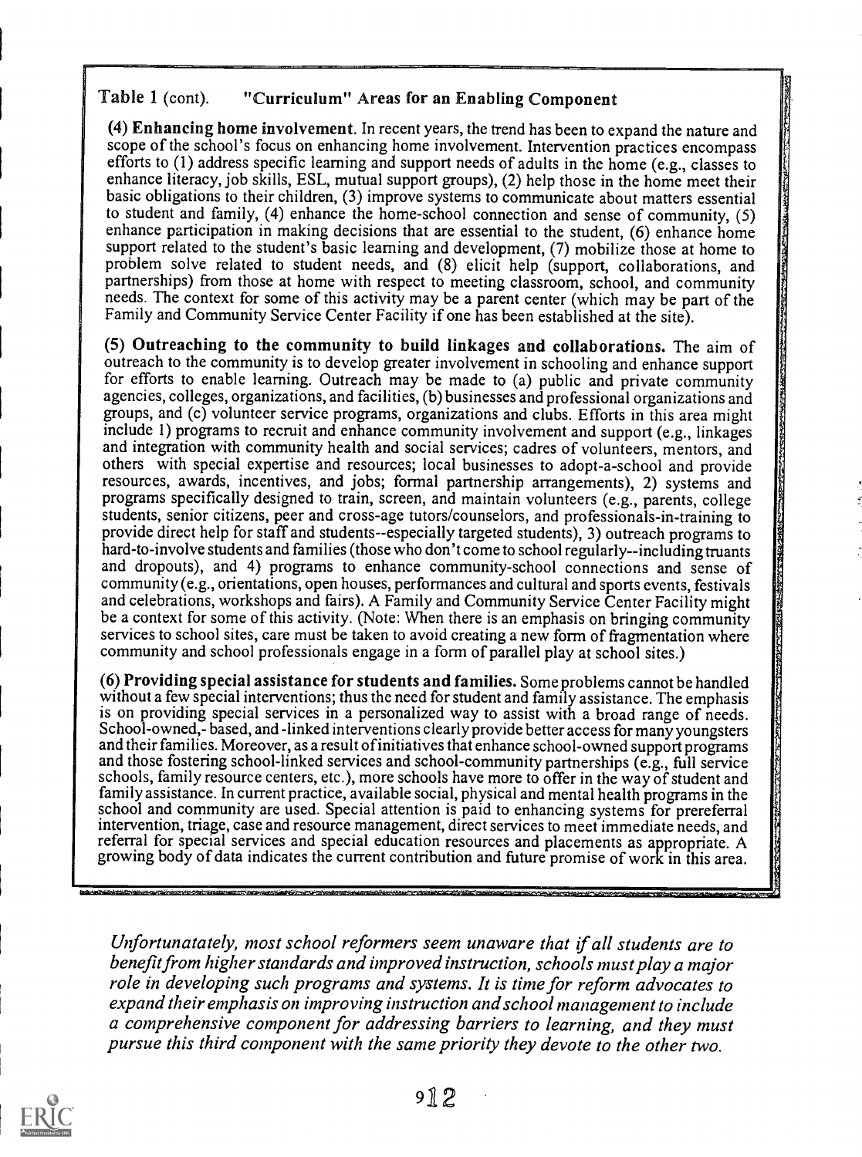### Table 1 (cont). "Curriculum" Areas for an Enabling Component

(4) Enhancing home involvement. In recent years, the trend has been to expand the nature and scope of the school's focus on enhancing home involvement. Intervention practices encompass efforts to (1) address specific learning and support needs of adults in the home (e.g., classes to enhance literacy, job skills, ESL, mutual support groups), (2) help those in the home meet their basic obligations to their children, (3) improve systems to communicate about matters essential to student and family, (4) enhance the home-school connection and sense of community, (5) enhance participation in making decisions that are essential to the student, (6) enhance home support related to the student's basic learning and development, (7) mobilize those at home to problem solve related to student needs, and (8) elicit help (support, collaborations, and partnerships) from those at home with respect to meeting classroom, school, and community needs. The context for some of this activity may be a parent center (which may be part of the Family and Community Service Center Facility if one has been established at the site).

(5) Outreaching to the community to build linkages and collaborations. The aim of outreach to the community is to develop greater involvement in schooling and enhance support for efforts to enable learning. Outreach may be made to (a) public and private community agencies, colleges, organizations, and facilities, (b) businesses and professional organizations and groups, and (c) volunteer service programs, organizations and clubs. Efforts in this area might include 1) programs to recruit and enhance community involvement and support (e.g., linkages and integration with community health and social services; cadres of volunteers, mentors, and others with special expertise and resources; local businesses to adopt-a-school and provide resources, awards, incentives, and jobs; formal partnership arrangements), 2) systems and programs specifically designed to train, screen, and maintain volunteers (e.g., parents, college students, senior citizens, peer and cross-age tutors/counselors, and professionals-in-training to provide direct help for staff and students--especially targeted students), 3) outreach programs to hard-to-involve students and families (those who don't come to school regularly--including truants and dropouts), and 4) programs to enhance community-school connections and sense of community (e.g., orientations, open houses, performances and cultural and sports events, festivals and celebrations, workshops and fairs). A Family and Community Service Center Facility might be a context for some of this activity. (Note: When there is an emphasis on bringing community services to school sites, care must be taken to avoid creating a new form of fragmentation where community and school professionals engage in a form of parallel play at school sites.)

(6) Providing special assistance for students and families. Some problems cannot be handled without a few special interventions; thus the need for student and family assistance. The emphasis is on providing special services in a personalized way to assist with a broad range of needs. School-owned,- based, and -linked interventions clearly provide better access for many youngsters and their families. Moreover, as a result ofinitiatives that enhance school-owned support programs and those fostering school-linked services and school-community partnerships (e.g., full service schools, family resource centers, etc.), more schools have more to offer in the way of student and family assistance. In current practice, available social, physical and mental health programs in the school and community are used. Special attention is paid to enhancing systems for prereferral intervention, triage, case and resource management, direct services to meet immediate needs, and referral for special services and special education resources and placements as appropriate. A growing body of data indicates the current contribution and future promise of work in this area.

Unfortunatately, most school reformers seem unaware that if all students are to benefit from higher standards and improved instruction, schools must play a major role in developing such programs and systems. It is time for reform advocates to expand their emphasis on improving instruction and school management to include a comprehensive component for addressing barriers to learning, and they must pursue this third component with the same priority they devote to the other two.

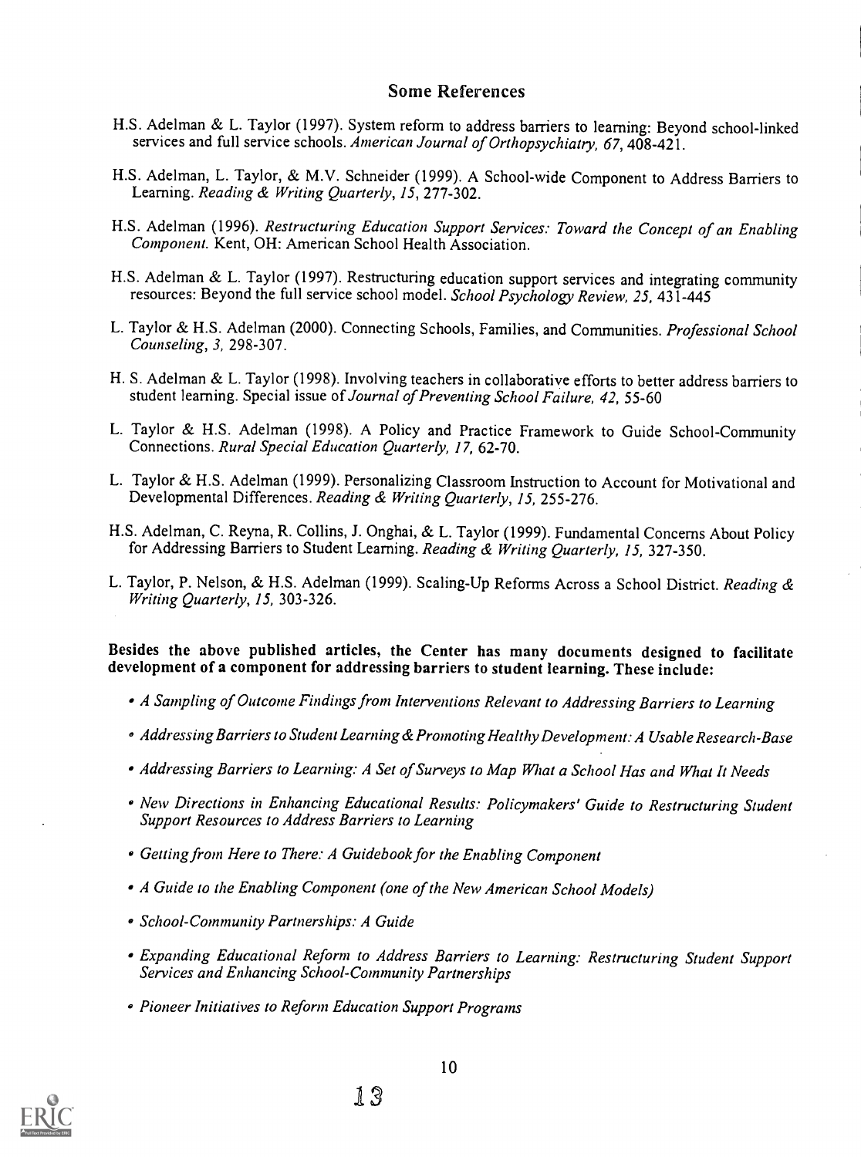#### Some References

- H.S. Adelman & L. Taylor (1997). System reform to address barriers to learning: Beyond school-linked services and full service schools. American Journal of Orthopsychiatry, 67, 408-421.
- H.S. Adelman, L. Taylor, & M.V. Schneider (1999). A School-wide Component to Address Barriers to Learning. Reading & Writing Quarterly, 15, 277-302.
- H.S. Adelman (1996). Restructuring Education Support Services: Toward the Concept of an Enabling Component. Kent, OH: American School Health Association.
- H.S. Adelman & L. Taylor (1997). Restructuring education support services and integrating community resources: Beyond the full service school model. School Psychology Review, 25, 431-445
- L. Taylor & H.S. Adelman (2000). Connecting Schools, Families, and Communities. Professional School Counseling, 3, 298-307.
- H. S. Adelman & L. Taylor (1998). Involving teachers in collaborative efforts to better address barriers to student learning. Special issue of Journal of Preventing School Failure, 42, 55-60
- L. Taylor & H.S. Adelman (1998). A Policy and Practice Framework to Guide School-Community Connections. Rural Special Education Quarterly, 17, 62-70.
- L. Taylor & H.S. Adelman (1999). Personalizing Classroom Instruction to Account for Motivational and Developmental Differences. Reading & Writing Quarterly, 15, 255-276.
- H.S. Adelman, C. Reyna, R. Collins, J. Onghai, & L. Taylor (1999). Fundamental Concerns About Policy for Addressing Barriers to Student Learning. Reading & Writing Quarterly, 15, 327-350.
- L. Taylor, P. Nelson, & H.S. Adelman (1999). Scaling-Up Reforms Across a School District. Reading & Writing Quarterly, 15, 303-326.

Besides the above published articles, the Center has many documents designed to facilitate development of a component for addressing barriers to student learning. These include:

- A Sampling of Outcome Findings from Interventions Relevant to Addressing Barriers to Learning
- Addressing Barriers to Student Learning & Promoting Healthy Development: A Usable Research-Base
- Addressing Barriers to Learning: A Set of Surveys to Map What a School Has and What It Needs
- New Directions in Enhancing Educational Results: Policymakers' Guide to Restructuring Student Support Resources to Address Barriers to Learning
- Getting from Here to There: A Guidebook for the Enabling Component

13

- A Guide to the Enabling Component (one of the New American School Models)
- School-Community Partnerships: A Guide
- Expanding Educational Reform to Address Barriers to Learning: Restructuring Student Support Services and Enhancing School-Community Partnerships
- Pioneer Initiatives to Reform Education Support Programs



10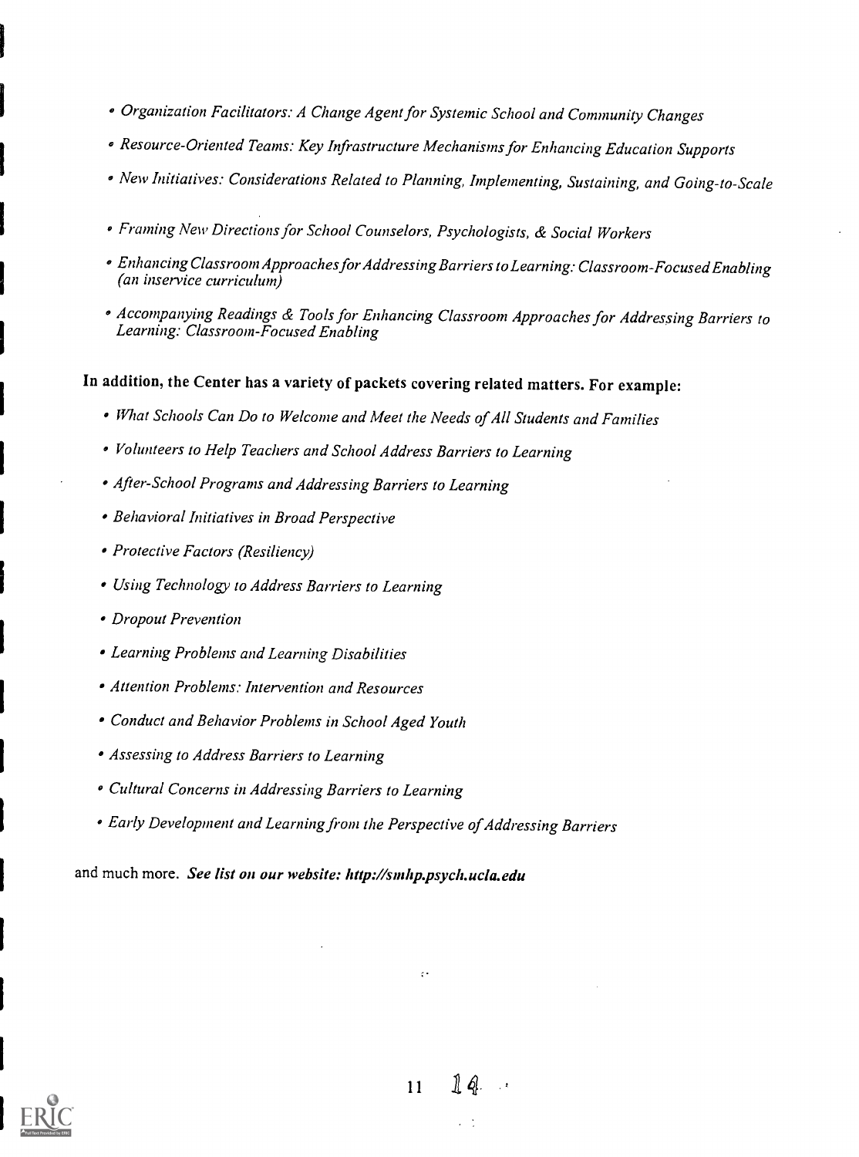- Organization Facilitators: A Change Agent for Systemic School and CommunityChanges
- Resource-Oriented Teams: Key Infrastructure Mechanisms for Enhancing Education Supports
- New Initiatives: Considerations Related to Planning, Implementing, Sustaining, and Going-to-Scale
- Framing New Directions for School Counselors, Psychologists, & Social Workers
- Enhancing Classroom Approaches for Addressing Barriers to Learning: Classroom-Focused Enabling (an inservice curriculum)
- Accompanying Readings & Tools for Enhancing Classroom Approaches for Addressing Barriers to Learning: Classroom-Focused Enabling

### In addition, the Center has a variety of packets covering related matters. For example:

- What Schools Can Do to Welcome and Meet the Needs of All Students and Families
- Volunteers to Help Teachers and School Address Barriers to Learning
- After-School Programs and Addressing Barriers to Learning
- Behavioral Initiatives in Broad Perspective
- Protective Factors (Resiliency)
- Using Technology to Address Barriers to Learning
- Dropout Prevention
- Learning Problems and Learning Disabilities
- Attention Problems: Intervention and Resources
- Conduct and Behavior Problems in School Aged Youth
- Assessing to Address Barriers to Learning
- Cultural Concerns in Addressing Barriers to Learning
- Early Development and Learning from the Perspective of Addressing Barriers

and much more. See list on our website: http://smhp.psych.ucla.edu



 $11 \quad \text{14}$ 

 $\epsilon$  .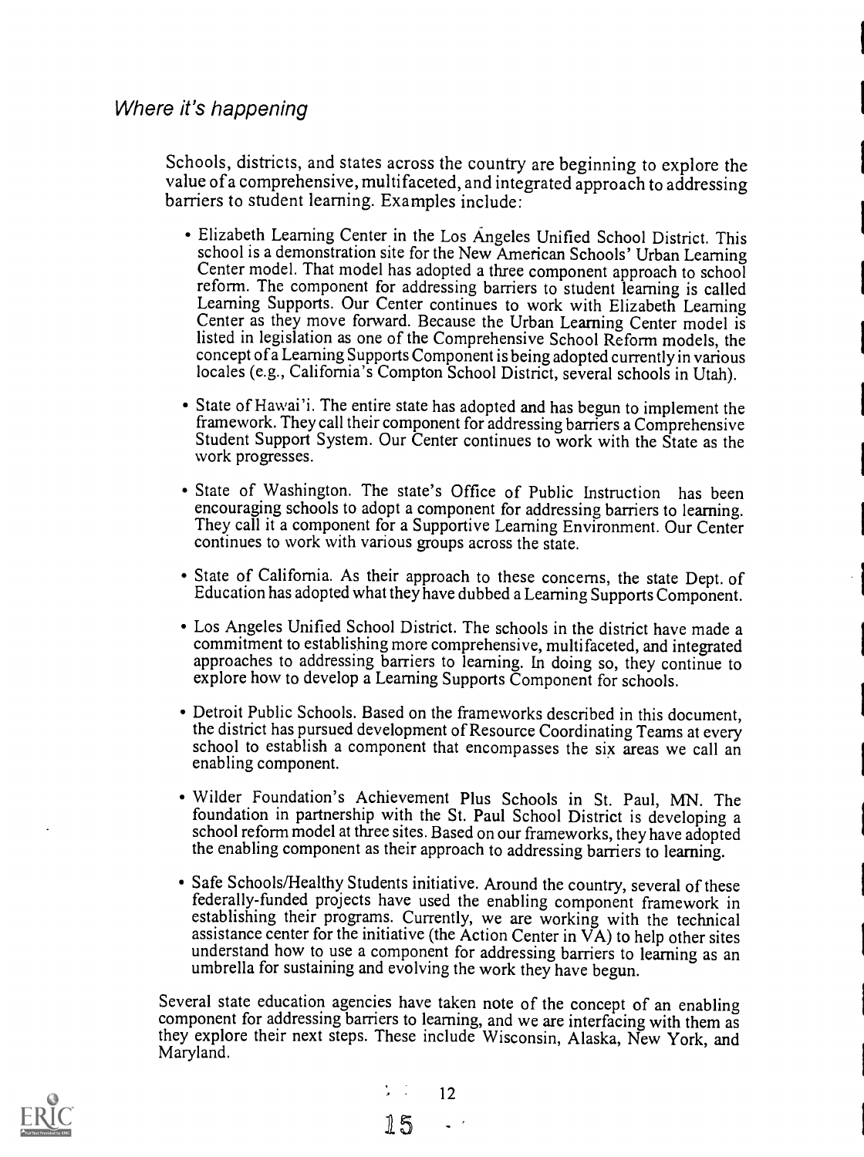Schools, districts, and states across the country are beginning to explore the value of a comprehensive, multifaceted, and integrated approach to addressing barriers to student learning. Examples include:

- Elizabeth Learning Center in the Los Angeles Unified School District. This school is a demonstration site for the New American Schools' Urban Learning Center model. That model has adopted a three component approach to school reform. The component for addressing barriers to student learning is called Learning Supports. Our Center continues to work with Elizabeth Learning Center as they move forward. Because the Urban Learning Center model is listed in legislation as one of the Comprehensive School Reform models, the concept of a Learning Supports Component is being adopted currently in various locales (e.g., California's Compton School District, several schools in Utah).
- State of Hawai'i. The entire state has adopted and has begun to implement the framework. They call their component for addressing barriers a Comprehensive Student Support System. Our Center continues to work with the State as the work progresses.
- State of Washington. The state's Office of Public Instruction has been encouraging schools to adopt a component for addressing barriers to learning. They call it a component for a Supportive Learning Environment. Our Center continues to work with vanous groups across the state.
- State of California. As their approach to these concerns, the state Dept. of Education has adopted what they have dubbed a Learning Supports Component.
- Los Angeles Unified School District. The schools in the district have made a commitment to establishing more comprehensive, multifaceted, and integrated approaches to addressing barriers to learning. In doing so, they continue to explore how to develop a Learning Supports Component for schools.
- Detroit Public Schools. Based on the frameworks described in this document, the district has pursued development of Resource Coordinating Teams at every school to establish a component that encompasses the six areas we call an enabling component.
- Wilder Foundation's Achievement Plus Schools in St. Paul, MN. The foundation in partnership with the St. Paul School District is developing a school reform model at three sites. Based on our frameworks, they have adopted the enabling component as their approach to addressing barriers to learning.
- Safe Schools/Healthy Students initiative. Around the country, several of these federally-funded projects have used the enabling component framework in establishing their programs. Currently, we are working with the technical assistance center for the initiative (the Action Center in VA) to help other sites understand how to use a component for addressing barriers to learning as an umbrella for sustaining and evolving the work they have begun.

Several state education agencies have taken note of the concept of an enabling component for addressing barriers to learning, and we are interfacing with them as they explore their next steps. These include Wisconsin, Alaska, New York, and Maryland.

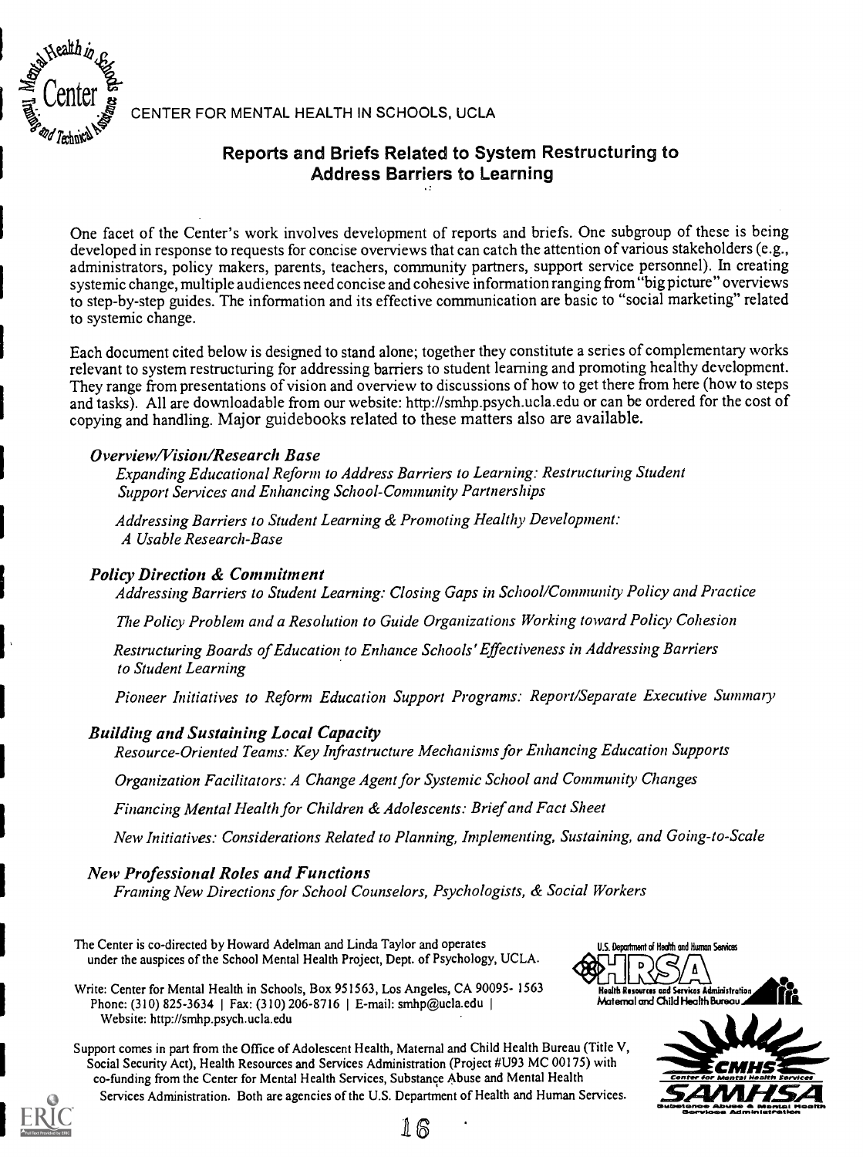

UUIIUI I<br>EENTER FOR MENTAL HEALTH IN SCHOOLS, UCLA<br>AARLLAN

### Reports and Briefs Related to System Restructuring to Address Barriers to Learning

One facet of the Center's work involves development of reports and briefs. One subgroup of these is being developed in response to requests for concise overviews that can catch the attention of various stakeholders (e.g., administrators, policy makers, parents, teachers, community partners, support service personnel). In creating systemic change, multiple audiences need concise and cohesive information ranging from "big picture" overviews to step-by-step guides. The information and its effective communication are basic to "social marketing" related to systemic change.

Each document cited below is designed to stand alone; together they constitute a series of complementary works relevant to system restructuring for addressing barriers to student learning and promoting healthy development. They range from presentations of vision and overview to discussions of how to get there from here (how to steps and tasks). All are downloadable from our website: http://smhp.psych.ucla.edu or can be ordered for the cost of copying and handling. Major guidebooks related to these matters also are available.

#### Overview/Vision/Research Base

Expanding Educational Reform to Address Barriers to Learning: Restructuring Student Support Services and Enhancing School-Community Partnerships

Addressing Barriers to Student Learning & Promoting Healthy Development: A Usable Research-Base

#### Policy Direction & Commitment

Addressing Barriers to Student Learning: Closing Gaps in School/Community Policy and Practice

The Policy Problem and a Resolution to Guide Organizations Working toward Policy Cohesion

Restructuring Boards of Education to Enhance Schools' Effectiveness in Addressing Barriers to Student Learning

Pioneer Initiatives to Reform Education Support Programs: Report/Separate Executive Summary

#### Building and Sustaining Local Capacity

Resource-Oriented Teams: Key Infrastructure Mechanisms for Enhancing Education Supports

Organization Facilitators: A Change Agent for Systemic School and Community Changes

Financing Mental Health for Children & Adolescents: Brief and Fact Sheet

New Initiatives: Considerations Related to Planning, Implementing, Sustaining, and Going-to-Scale

### New Professional Roles and Functions

Framing New Directions for School Counselors, Psychologists, & Social Workers

The Center is co-directed by Howard Adelman and Linda Taylor and operates under the auspices of the School Mental Health Project, Dept. of Psychology, UCLA.

Write: Center for Mental Health in Schools, Box 951563, Los Angeles, CA 90095- 1563<br>Phone: (310) 825-3634 | Fax: (310) 206-8716 | F-mail: smhn@ucla edu | Matemal and Child Health Bureau Phone: (310) 825-3634 | Fax: (310) 206-8716 | E-mail: smhp@ucla.edu | Website: http://smhp.psych.ucla.edu







Support comes in part from the Office of Adolescent Health, Maternal and Child Health Bureau (Title V, Social Security Act), Health Resources and Services Administration (Project #U93 MC 00175) with co-funding from the Center for Mental Health Services, Substance Abuse and Mental Health

Services Administration. Both are agencies of the U.S. Department of Health and Human Services.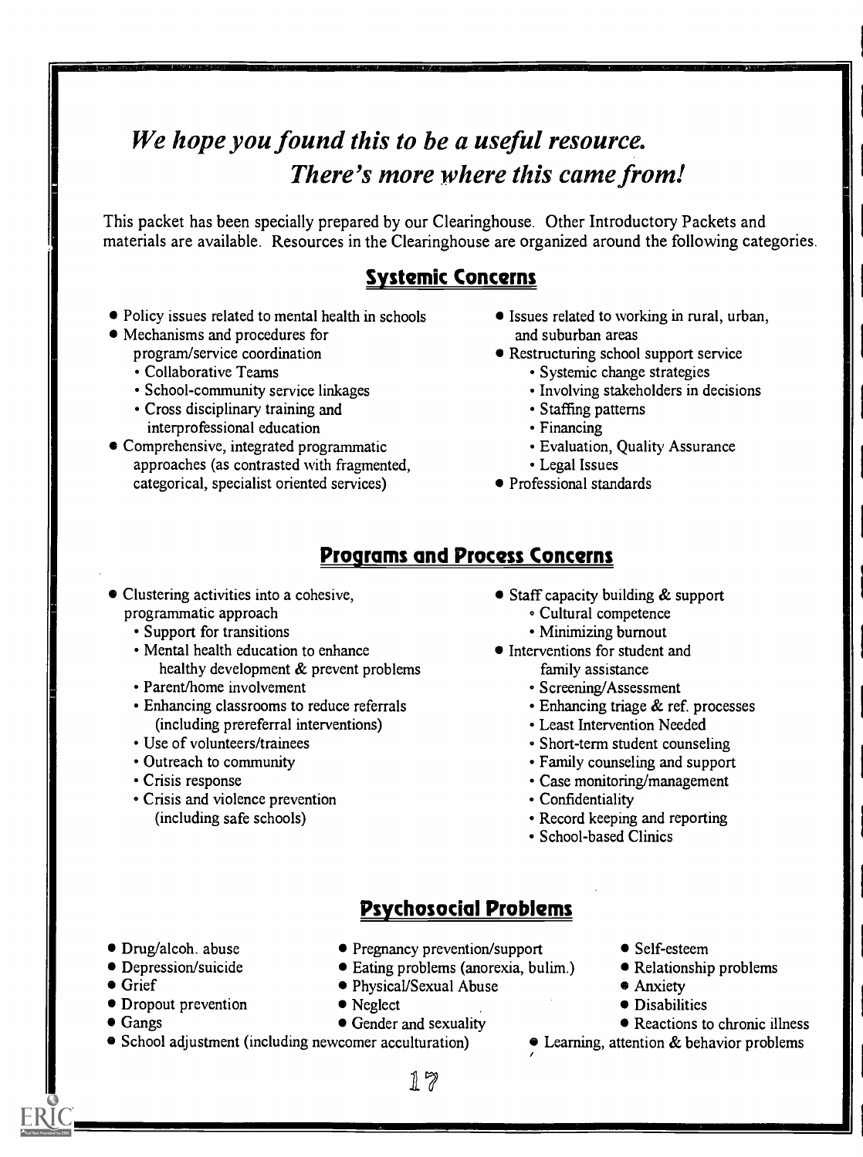# We hope you found this to be a useful resource. There's more where this came from!

This packet has been specially prepared by our Clearinghouse. Other Introductory Packets and materials are available. Resources in the Clearinghouse are organized around the following categories.

## Systemic Concerns

- Policy issues related to mental health in schools
- Mechanisms and procedures for
	- program/service coordination
	- Collaborative Teams
	- School-community service linkages
	- Cross disciplinary training and interprofessional education
- Comprehensive, integrated programmatic approaches (as contrasted with fragmented, categorical, specialist oriented services)
- Issues related to working in rural, urban, and suburban areas
- Restructuring school support service
	- Systemic change strategies
	- Involving stakeholders in decisions
	- Staffing patterns
	- Financing
	- Evaluation, Quality Assurance
	- Legal Issues
- Professional standards

# Programs and Process Concerns

- Clustering activities into a cohesive, programmatic approach
	- Support for transitions
	- Mental health education to enhance healthy development & prevent problems
	- Parent/home involvement
	- Enhancing classrooms to reduce referrals (including prereferral interventions)
	- Use of volunteers/trainees
	- Outreach to community
	- Crisis response
	- Crisis and violence prevention (including safe schools)
- Staff capacity building & support
	- Cultural competence
	- Minimizing burnout
- Interventions for student and family assistance
	- Screening/Assessment
	- Enhancing triage & ref. processes
	- Least Intervention Needed
	- Short-term student counseling
	- Family counseling and support
	- Case monitoring/management
	- Confidentiality
	- Record keeping and reporting
	- School-based Clinics

# Psychosocial Problems

- 
- 
- 
- Dropout prevention Neglect
- 
- School adjustment (including newcomer acculturation)
- Drug/alcoh. abuse Pregnancy prevention/support
- Depression/suicide Eating problems (anorexia, bulim.)
	- **Physical/Sexual Abuse**
	-
- Gangs Gender and sexuality
- 
- Self-esteem
- Relationship problems

#### Anxiety

**•** Disabilities

#### • Reactions to chronic illness

**Examing, attention & behavior problems**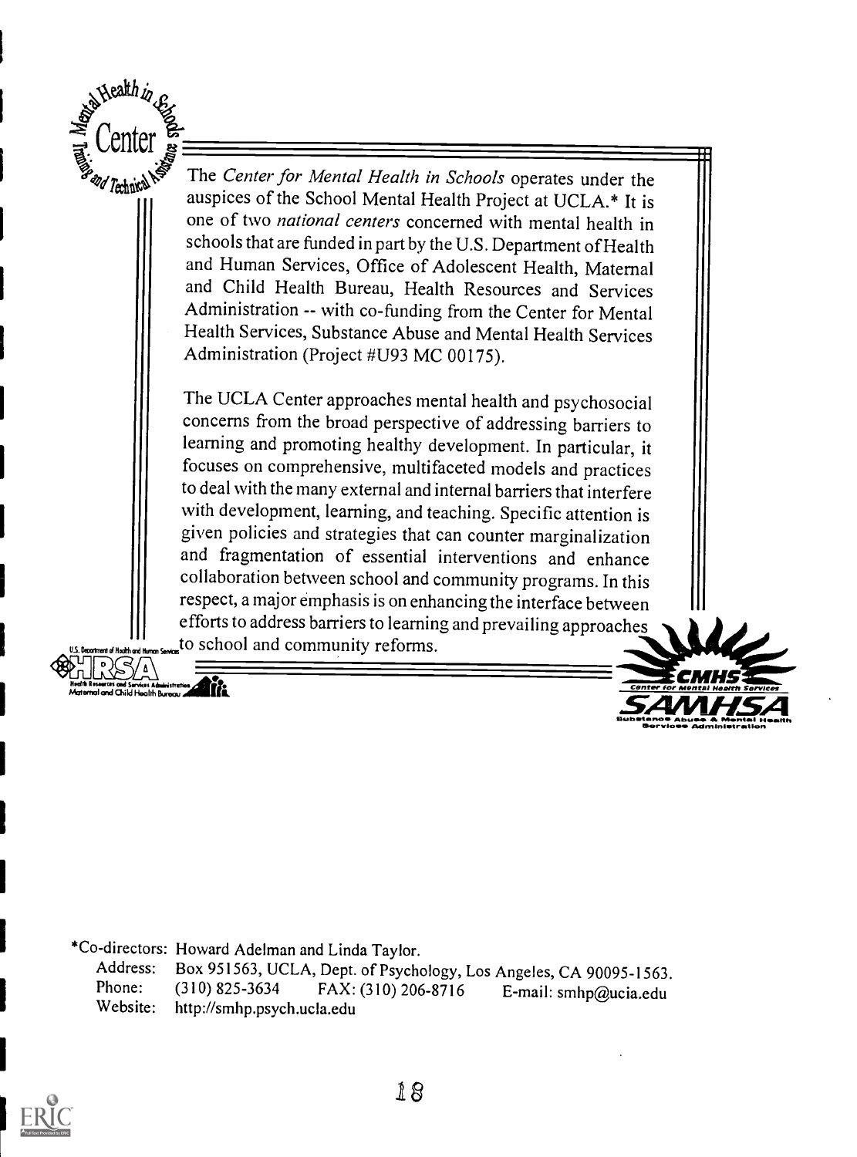

 $\sum_{i=1}^{\infty}$  Center  $\sum_{i=1}^{\infty}$  The Center for Mental Health in Schools operates under the  $\frac{d}{d\theta}$  auspices of the School Mental Health Project at UCLA.\* It is one of two national centers concerned with mental health in schools that are funded in part by the U.S. Department of Health and Human Services, Office of Adolescent Health, Maternal and Child Health Bureau, Health Resources and Services Administration -- with co-funding from the Center for Mental Health Services, Substance Abuse and Mental Health Services Administration (Project #U93 MC 00175).

> The UCLA Center approaches mental health and psychosocial concerns from the broad perspective of addressing barriers to learning and promoting healthy development. In particular, it focuses on comprehensive, multifaceted models and practices to deal with the many external and internal barriers that interfere with development, learning, and teaching. Specific attention is given policies and strategies that can counter marginalization and fragmentation of essential interventions and enhance collaboration between school and community programs. In this respect, a major emphasis is on enhancing the interface between efforts to address barriers to learning and prevailing approaches to school and community reforms.





\*Co-directors: Howard Adelman and Linda Taylor. Address: Box 951563, UCLA, Dept. of Psychology, Los Angeles, CA 90095-1563.<br>Phone: (310) 825-3634 FAX: (310) 206-8716 E-mail: smhp@ucia.edu Website: http://smhp.psych.ucla.edu

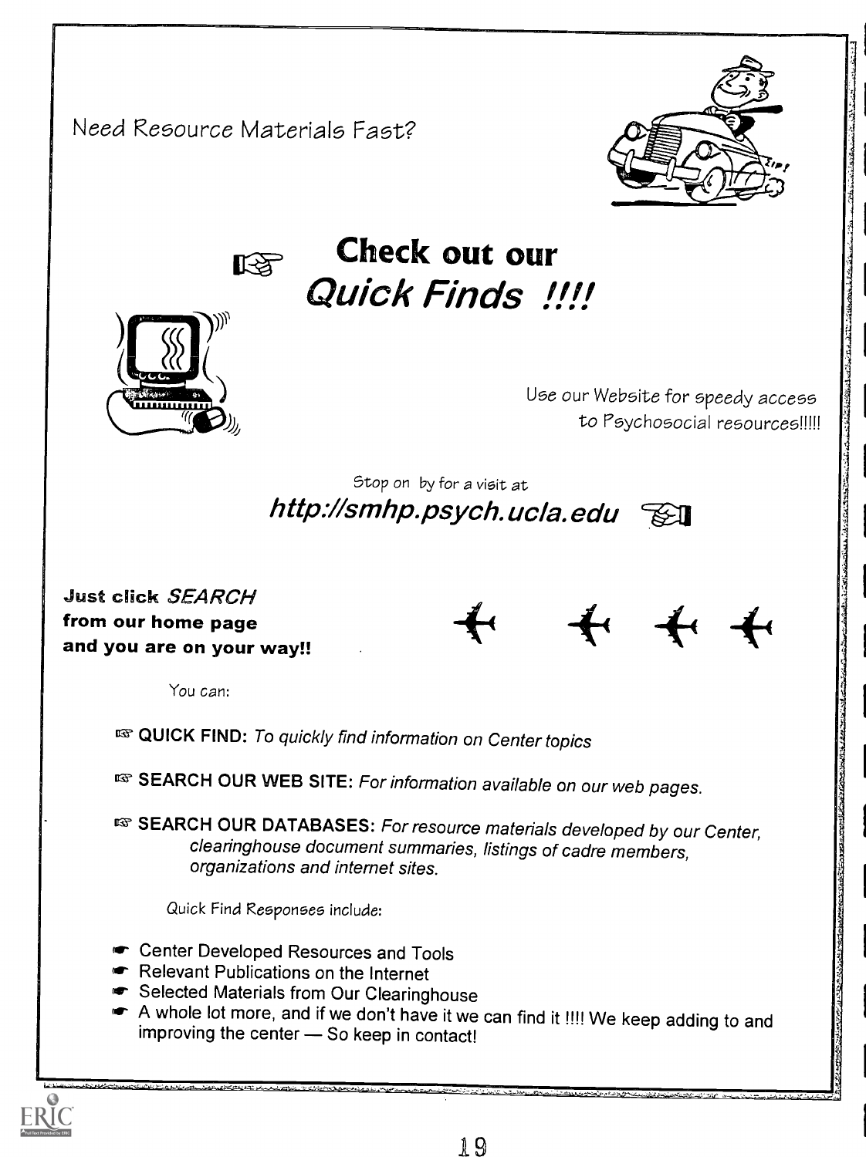Need Resource Materials Fast?





# Check out our Quick Finds !!!!



Stop on by for a visit at http://smhp.psych.ucla.edu

Just click SEARCH from our home page and you are on your way!!



You can:

**EST QUICK FIND:** To quickly find information on Center topics

**REARCH OUR WEB SITE:** For information available on our web pages.

as SEARCH OUR DATABASES: For resource materials developed by our Center, clearinghouse document summaries, listings of cadre members, organizations and internet sites.

Quick Find Responses include:

- **Center Developed Resources and Tools**
- **The Relevant Publications on the Internet**
- **■** Selected Materials from Our Clearinghouse
- me- A whole lot more, and if we don't have it we can find it !!!! We keep adding to and improving the center - So keep in contact!